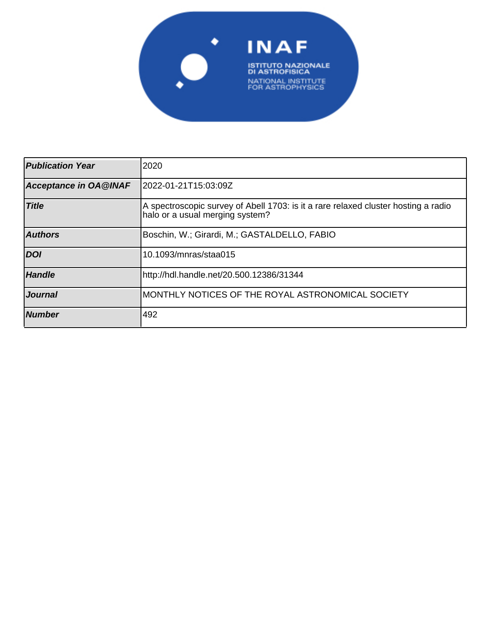

| <b>Publication Year</b> | 2020                                                                                                                  |
|-------------------------|-----------------------------------------------------------------------------------------------------------------------|
| Acceptance in OA@INAF   | 2022-01-21T15:03:09Z                                                                                                  |
| <b>Title</b>            | A spectroscopic survey of Abell 1703: is it a rare relaxed cluster hosting a radio<br>halo or a usual merging system? |
| <b>Authors</b>          | Boschin, W.; Girardi, M.; GASTALDELLO, FABIO                                                                          |
| <b>DOI</b>              | 10.1093/mnras/staa015                                                                                                 |
| <b>Handle</b>           | http://hdl.handle.net/20.500.12386/31344                                                                              |
| <i><b>Journal</b></i>   | MONTHLY NOTICES OF THE ROYAL ASTRONOMICAL SOCIETY                                                                     |
| <b>Number</b>           | 492                                                                                                                   |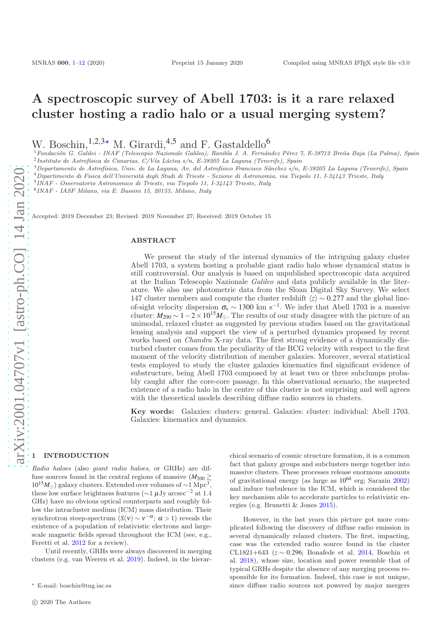# A spectroscopic survey of Abell 1703: is it a rare relaxed cluster hosting a radio halo or a usual merging system?

W. Boschin,  $1,2,3*$  M. Girardi,  $4,5$  and F. Gastaldello<sup>6</sup>

<sup>1</sup> Fundación G. Galilei - INAF (Telescopio Nazionale Galileo), Rambla J. A. Fernández Pérez 7, E-38712 Breña Baja (La Palma), Spain  $^{2}$ Instituto de Astrofísica de Canarias, C/Vía Láctea s/n, E-38205 La Laguna (Tenerife), Spain

 $3$ Departamento de Astrofísica, Univ. de La Laguna, Av. del Astrofísico Francisco Sánchez s/n, E-38205 La Laguna (Tenerife), Spain

 $^4$ Dipartimento di Fisica dell'Università degli Studi di Trieste - Sezione di Astronomia, via Tiepolo 11, I-34143 Trieste, Italy

5 INAF - Osservatorio Astronomico di Trieste, via Tiepolo 11, I-34143 Trieste, Italy

6 INAF - IASF Milano, via E. Bassini 15, 20133, Milano, Italy

Accepted: 2019 December 23; Revised: 2019 November 27; Received: 2019 October 15

#### ABSTRACT

We present the study of the internal dynamics of the intriguing galaxy cluster Abell 1703, a system hosting a probable giant radio halo whose dynamical status is still controversial. Our analysis is based on unpublished spectroscopic data acquired at the Italian Telescopio Nazionale Galileo and data publicly available in the literature. We also use photometric data from the Sloan Digital Sky Survey. We select 147 cluster members and compute the cluster redshift  $\langle z \rangle$  ∼ 0.277 and the global lineof-sight velocity dispersion  $\sigma_v \sim 1300 \text{ km s}^{-1}$ . We infer that Abell 1703 is a massive cluster:  $M_{200} \sim 1-2 \times 10^{15} M_{\odot}$ . The results of our study disagree with the picture of an unimodal, relaxed cluster as suggested by previous studies based on the gravitational lensing analysis and support the view of a perturbed dynamics proposed by recent works based on *Chandra* X-ray data. The first strong evidence of a dynamically disturbed cluster comes from the peculiarity of the BCG velocity with respect to the first moment of the velocity distribution of member galaxies. Moreover, several statistical tests employed to study the cluster galaxies kinematics find significant evidence of substructure, being Abell 1703 composed by at least two or three subclumps probably caught after the core-core passage. In this observational scenario, the suspected existence of a radio halo in the centre of this cluster is not surprising and well agrees with the theoretical models describing diffuse radio sources in clusters.

Key words: Galaxies: clusters: general. Galaxies: cluster: individual: Abell 1703. Galaxies: kinematics and dynamics.

# **INTRODUCTION**

Radio haloes (also giant radio haloes, or GRHs) are diffuse sources found in the central regions of massive  $(M_{200} \gtrsim$  $10^{15}M_{\odot}$ ) galaxy clusters. Extended over volumes of ~1 Mpc<sup>3</sup>, these low surface brightness features ( $\sim$ 1 µJy arcsec<sup>-2</sup> at 1.4 GHz) have no obvious optical counterparts and roughly follow the intracluster medium (ICM) mass distribution. Their synchrotron steep-spectrum  $(S(v) \sim v^{-\alpha}; \alpha > 1)$  reveals the existence of a population of relativistic electrons and largescale magnetic fields spread throughout the ICM (see, e.g., Feretti et al. 2012 for a review).

Until recently, GRHs were always discovered in merging clusters (e.g. van Weeren et al. 2019). Indeed, in the hierarchical scenario of cosmic structure formation, it is a common fact that galaxy groups and subclusters merge together into massive clusters. These processes release enormous amounts of gravitational energy (as large as  $10^{64}$  erg; Sarazin 2002) and induce turbulence in the ICM, which is considered the key mechanism able to accelerate particles to relativistic energies (e.g. Brunetti & Jones 2015).

However, in the last years this picture got more complicated following the discovery of diffuse radio emission in several dynamically relaxed clusters. The first, impacting, case was the extended radio source found in the cluster CL1821+643 (*z* ∼ 0.296; Bonafede et al. 2014, Boschin et al. 2018), whose size, location and power resemble that of typical GRHs despite the absence of any merging process responsible for its formation. Indeed, this case is not unique, since diffuse radio sources not powered by major mergers

<sup>⋆</sup> E-mail: boschin@tng.iac.es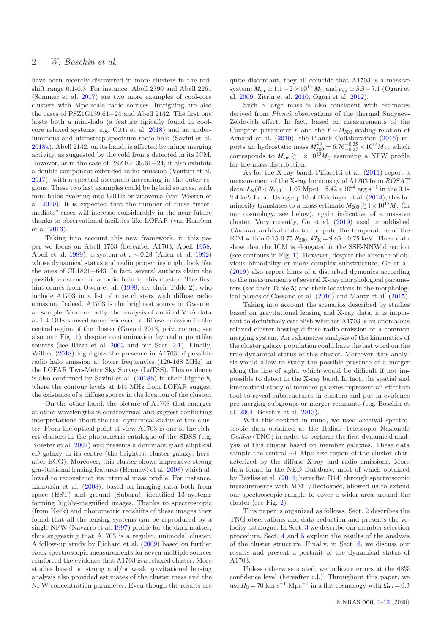have been recently discovered in more clusters in the redshift range 0.1-0.3. For instance, Abell 2390 and Abell 2261 (Sommer et al. 2017) are two more examples of cool-core clusters with Mpc-scale radio sources. Intriguing are also the cases of PSZ1G139.61+24 and Abell 2142. The first one hosts both a mini-halo (a feature tipically found in coolcore relaxed systems, e.g. Gitti et al. 2018) and an underluminous and ultrasteep spectrum radio halo (Savini et al. 2018a). Abell 2142, on its hand, is affected by minor merging activity, as suggested by the cold fronts detected in its ICM. However, as in the case of  $PSZ1G139.61+24$ , it also exhibits a double-component extended radio emission (Venturi et al. 2017), with a spectral steepness increasing in the outer regions. These two last examples could be hybrid sources, with mini-halos evolving into GRHs or viceversa (van Weeren et al. 2019). It is expected that the number of these "intermediate" cases will increase considerably in the near future thanks to observational facilities like LOFAR (van Haarlem et al. 2013).

Taking into account this new framework, in this paper we focus on Abell 1703 (hereafter A1703; Abell 1958, Abell et al. 1989), a system at *z* ∼ 0.28 (Allen et al. 1992) whose dynamical status and radio properties might look like the ones of CL1821+643. In fact, several authors claim the possible existence of a radio halo in this cluster. The first hint comes from Owen et al. (1999; see their Table 2), who include A1703 in a list of nine clusters with diffuse radio emission. Indeed, A1703 is the brightest source in Owen et al. sample. More recently, the analysis of archival VLA data at 1.4 GHz showed some evidence of diffuse emission in the central region of the cluster (Govoni 2018, priv. comm.; see also our Fig. 1) despite contamination by radio pointlike sources (see Rizza et al. 2003 and our Sect. 2.1). Finally, Wilber (2018) highlights the presence in A1703 of possible radio halo emission at lower frequencies (120-168 MHz) in the LOFAR Two-Metre Sky Survey (LoTSS). This evidence is also confirmed by Savini et al. (2018b) in their Figure 8, where the contour levels at 144 MHz from LOFAR suggest the existence of a diffuse source in the location of the cluster.

On the other hand, the picture of A1703 that emerges at other wavelengths is controversial and suggest conflicting interpretations about the real dynamical status of this cluster. From the optical point of view A1703 is one of the richest clusters in the photometric catalogue of the SDSS (e.g. Koester et al. 2007) and presents a dominant giant elliptical cD galaxy in its centre (the brightest cluster galaxy; hereafter BCG). Moreover, this cluster shows impressive strong gravitational lensing features (Hennawi et al. 2008) which allowed to reconstruct its internal mass profile. For instance, Limousin et al. (2008), based on imaging data both from space (HST) and ground (Subaru), identified 13 systems forming highly-magnified images. Thanks to spectroscopic (from Keck) and photometric redshifts of these images they found that all the lensing systems can be reproduced by a single NFW (Navarro et al. 1997) profile for the dark matter, thus suggesting that A1703 is a regular, unimodal cluster. A follow-up study by Richard et al. (2009) based on further Keck spectroscopic measurements for seven multiple sources reinforced the evidence that A1703 is a relaxed cluster. More studies based on strong and/or weak gravitational lensing analysis also provided estimates of the cluster mass and the NFW concentration parameter. Even though the results are quite discordant, they all coincide that A1703 is a massive system:  $M_{\text{vir}} \simeq 1.1 - 2 \times 10^{15} M_{\odot}$  and  $c_{\text{vir}} \simeq 3.3 - 7.1$  (Oguri et al. 2009, Zitrin et al. 2010, Oguri et al. 2012).

Such a large mass is also consistent with estimates derived from Planck observations of the thermal Sunyaev-Zeldovich effect. In fact, based on measurements of the Compton parameter *Y* and the  $Y - M_{500}$  scaling relation of Arnaud et al. (2010), the Planck Collaboration (2016) reports an hydrostatic mass  $M_{500}^{SZ} = 6.76_{-0.37}^{+0.35} \times 10^{14} M_{\odot}$ , which corresponds to  $M_{\text{vir}} \gtrsim 1 \times 10^{15} M_{\odot}$  assuming a NFW profile for the mass distribution.

As for the X-ray band, Piffaretti et al. (2011) report a measurement of the X-ray luminosity of A1703 from ROSAT data:  $L_X(R < R_{500} = 1.07 \text{ Mpc}) = 5.42 \times 10^{44} \text{ erg s}^{-1}$  in the 0.1-2.4 keV band. Using eq. 10 of Böhringer et al.  $(2014)$ , this luminosity translates to a mass estimate  $M_{200} \gtrsim 1 \times 10^{15} M_{\odot}$  (in our cosmology, see below), again indicative of a massive cluster. Very recently, Ge et al. (2019) used unpublished Chandra archival data to compute the temperature of the ICM within 0.15-0.75  $R_{500}$ :  $kT_{\text{X}} = 9.63 \pm 0.75$  keV. These data show that the ICM is elongated in the SSE-NNW direction (see contours in Fig. 1). However, despite the absence of obvious bimodality or more complex substructure, Ge et al. (2019) also report hints of a disturbed dynamics according to the measurements of several X-ray morphological parameters (see their Table 5) and their locations in the morphological planes of Cassano et al. (2010) and Mantz et al. (2015).

Taking into account the scenarios described by studies based on gravitational lensing and X-ray data, it is important to definitively establish whether A1703 is an anomalous relaxed cluster hosting diffuse radio emission or a common merging system. An exhaustive analysis of the kinematics of the cluster galaxy population could have the last word on the true dynamical status of this cluster. Moreover, this analysis would allow to study the possible presence of a merger along the line of sight, which would be difficult if not impossible to detect in the X-ray band. In fact, the spatial and kinematical study of member galaxies represent an effective tool to reveal substructures in clusters and put in evidence pre-merging subgroups or merger remnants (e.g. Boschin et al. 2004; Boschin et al. 2013).

With this context in mind, we used archival spectroscopic data obtained at the Italian Telescopio Nazionale Galileo (TNG) in order to perform the first dynamical analysis of this cluster based on member galaxies. These data sample the central ∼1 Mpc size region of the cluster characterized by the diffuse X-ray and radio emissions. More data found in the NED Database, most of which obtained by Bayliss et al. (2014; hereafter B14) through spectroscopic measurements with MMT/Hectospec, allowed us to extend our spectroscopic sample to cover a wider area around the cluster (see Fig. 2).

This paper is organized as follows. Sect. 2 describes the TNG observations and data reduction and presents the velocity catalogue. In Sect. 3 we describe our member selection procedure. Sect. 4 and 5 explain the results of the analysis of the cluster structure. Finally, in Sect. 6, we discuss our results and present a portrait of the dynamical status of A1703.

Unless otherwise stated, we indicate errors at the 68% confidence level (hereafter c.l.). Throughout this paper, we use  $H_0 = 70 \text{ km s}^{-1} \text{ Mpc}^{-1}$  in a flat cosmology with  $\Omega_m = 0.3$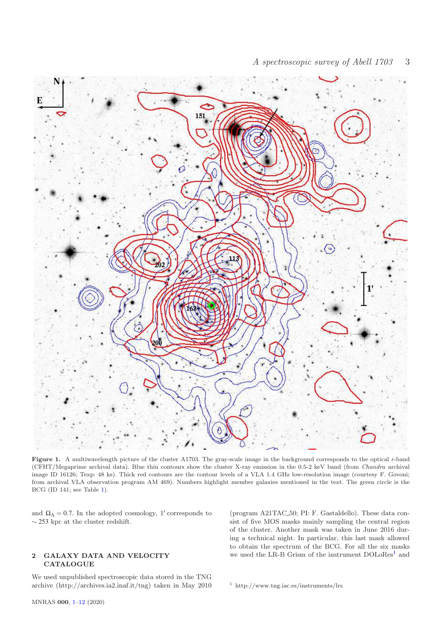

Figure 1. A multiwavelength picture of the cluster A1703. The gray-scale image in the background corresponds to the optical *r*-band (CFHT/Megaprime archival data). Blue thin contours show the cluster X-ray emission in the 0.5-2 keV band (from Chandra archival image ID 16126; Texp: 48 ks). Thick red contours are the contour levels of a VLA 1.4 GHz low-resolution image (courtesy F. Govoni; from archival VLA observation program AM 469). Numbers highlight member galaxies mentioned in the text. The green circle is the BCG (ID 141; see Table 1).

and  $\Omega_{\Lambda} = 0.7$ . In the adopted cosmology, 1' corresponds to  $\sim 253$  kpc at the cluster redshift.

# 2 GALAXY DATA AND VELOCITY **CATALOGUE**

We used unpublished spectroscopic data stored in the TNG archive (http://archives.ia2.inaf.it/tng) taken in May 2010

(program A21TAC 50; PI: F. Gastaldello). These data consist of five MOS masks mainly sampling the central region of the cluster. Another mask was taken in June 2016 during a technical night. In particular, this last mask allowed to obtain the spectrum of the BCG. For all the six masks we used the LR-B Grism of the instrument DOLoRes<sup>1</sup> and

<sup>1</sup> http://www.tng.iac.es/instruments/lrs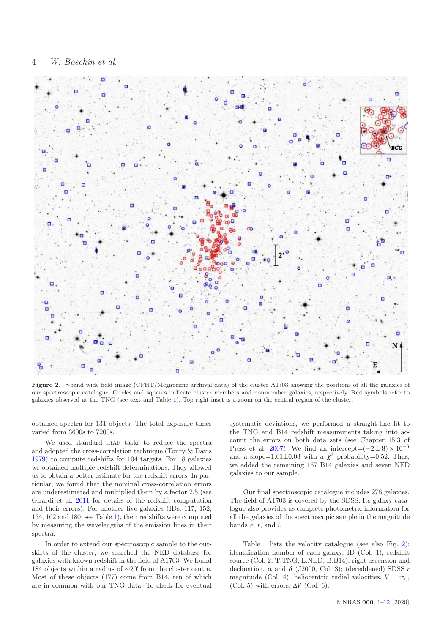

Figure 2. *r*-band wide field image (CFHT/Megaprime archival data) of the cluster A1703 showing the positions of all the galaxies of our spectroscopic catalogue. Circles and squares indicate cluster members and nonmember galaxies, respectively. Red symbols refer to galaxies observed at the TNG (see text and Table 1). Top right inset is a zoom on the central region of the cluster.

obtained spectra for 131 objects. The total exposure times varied from 3600s to 7200s.

We used standard IRAF tasks to reduce the spectra and adopted the cross-correlation technique (Tonry & Davis 1979) to compute redshifts for 104 targets. For 18 galaxies we obtained multiple redshift determinations. They allowed us to obtain a better estimate for the redshift errors. In particular, we found that the nominal cross-correlation errors are underestimated and multiplied them by a factor 2.5 (see Girardi et al. 2011 for details of the redshift computation and their errors). For another five galaxies (IDs. 117, 152, 154, 162 and 180; see Table 1), their redshifts were computed by measuring the wavelengths of the emission lines in their spectra.

In order to extend our spectroscopic sample to the outskirts of the cluster, we searched the NED database for galaxies with known redshift in the field of A1703. We found 184 objects within a radius of ∼20′ from the cluster centre. Most of these objects (177) come from B14, ten of which are in common with our TNG data. To check for eventual systematic deviations, we performed a straight-line fit to the TNG and B14 redshift measurements taking into account the errors on both data sets (see Chapter 15.3 of Press et al. 2007). We find an intercept= $(-2 \pm 8) \times 10^{-3}$ and a slope=1.01 $\pm$ 0.03 with a  $\chi^2$  probability=0.52. Thus, we added the remaining 167 B14 galaxies and seven NED galaxies to our sample.

Our final spectroscopic catalogue includes 278 galaxies. The field of A1703 is covered by the SDSS. Its galaxy catalogue also provides us complete photometric information for all the galaxies of the spectroscopic sample in the magnitude bands *g*, *r*, and *i*.

Table 1 lists the velocity catalogue (see also Fig. 2): identification number of each galaxy, ID (Col. 1); redshift source (Col. 2; T:TNG, L:NED, B:B14); right ascension and declination,  $\alpha$  and  $\delta$  (J2000, Col. 3); (dereddened) SDSS  $r$ magnitude (Col. 4); heliocentric radial velocities,  $V = cz \odot$ (Col. 5) with errors,  $\Delta V$  (Col. 6).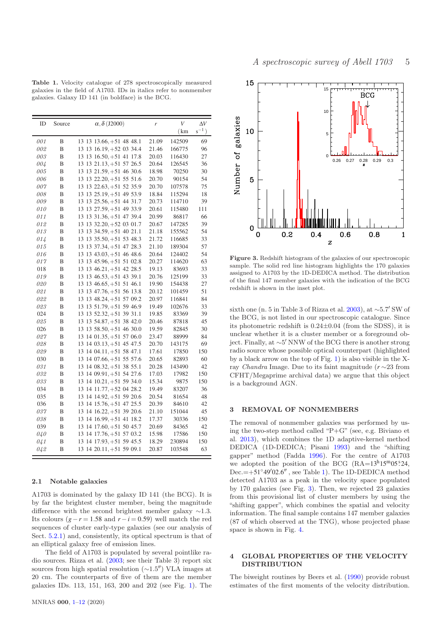Table 1. Velocity catalogue of 278 spectroscopically measured galaxies in the field of A1703. IDs in italics refer to nonmember galaxies. Galaxy ID 141 (in boldface) is the BCG.

| ID  | Source | $\alpha$ , $\delta$ (J2000)        | r     | $\bar{V}$ | $\Delta V$ |
|-----|--------|------------------------------------|-------|-----------|------------|
|     |        |                                    |       | (km)      | $s^{-1}$ ) |
| 001 | B      | 13 13 13.66, +51 48 48.1           | 21.09 | 142509    | 69         |
| 002 | B      | 13 13 16.19, +52 03 34.4           | 21.46 | 166775    | 96         |
| 003 | B      | 13 13 16.50, +51 41 17.8           | 20.03 | 116430    | 27         |
| 004 | B      | 13 13 21.13, +51 57 26.5           | 20.64 | 126545    | 36         |
| 005 | B      | 13 13 21.59, +51 46 30.6           | 18.98 | 70250     | 30         |
| 006 | B      | 13 13 22.20, +51 55 51.6           | 20.70 | 90154     | 54         |
| 007 | B      | 13 13 22.63, +51 52 35.9           | 20.70 | 107578    | 75         |
| 008 | B      | 13 13 25.19, +51 49 53.9           | 18.84 | 115294    | 18         |
| 009 | B      | 13 13 25.56, +51 44 31.7           | 20.73 | 114710    | 39         |
| 010 | B      | 13 13 27.59, +51 49 33.9           | 20.61 | 115480    | 111        |
| 011 | B      | 13 13 31.36, +51 47 39.4           | 20.99 | 86817     | 66         |
| 012 | B      | 13 13 32.20, +52 03 01.7           | 20.67 | 147285    | 39         |
| 013 | B      | 13 13 34.59, +51 40 21.1           | 21.18 | 155562    | 54         |
| 014 | B      | 13 13 35.50, +51 53 48.3           | 21.72 | 116685    | 33         |
| 015 | B      | 13 13 37.34, +51 47 28.3           | 21.10 | 189304    | 57         |
| 016 | B      | $13\; 13\; 43.03, +51\; 46\; 48.6$ | 20.64 | 124402    | 54         |
| 017 | B      | 13 13 45.96, +51 51 02.8           | 20.27 | 114620    | 63         |
| 018 | B      | 13 13 46.21, +51 42 28.5           | 19.13 | 83693     | 33         |
| 019 | B      | 13 13 46.53, +51 43 39.1           | 20.76 | 125199    | 33         |
| 020 | B      | 13 13 46.65, +51 51 46.1           | 19.90 | 154438    | 27         |
| 021 | B      | 13 13 47.76, +51 56 13.8           | 20.12 | 101459    | 51         |
| 022 | B      | 13 13 48.24, +51 57 09.2           | 20.97 | 116841    | 84         |
| 023 | B      | 13 13 51.79, +51 59 46.9           | 19.49 | 102676    | 33         |
| 024 | B      | $13$ 13 52.32, $+51$ 39 31.1       | 19.85 | 83369     | 39         |
| 025 | B      | 13 13 54.87, +51 38 42.0           | 20.46 | 87818     | 45         |
| 026 | B      | 13 13 58.50, +51 46 30.0           | 19.59 | 82845     | 30         |
| 027 | B      | 13 14 01.35, +51 57 06.0           | 23.47 | 88999     | 84         |
| 028 | B      | 13 14 03.13, +51 45 47.5           | 20.70 | 143175    | 69         |
| 029 | B      | 13 14 04.11, +51 58 47.1           | 17.61 | 17850     | 150        |
| 030 | B      | 13 14 07.66, +51 55 57.6           | 20.65 | 82893     | 60         |
| 031 | B      | 13 14 08.32, +51 38 55.1           | 20.28 | 143490    | 42         |
| 032 | B      | 13 14 09.91, +51 54 27.6           | 17.03 | 17982     | 150        |
| 033 | B      | $13$ 14 $10.21, +51$ 59 34.0       | 15.34 | 9875      | 150        |
| 034 | B      | 13 14 11.77, +52 04 28.2           | 19.49 | 83207     | 36         |
| 035 | B      | 13 14 14.92, +51 59 20.6           | 20.54 | 81654     | 48         |
| 036 | B      | 13 14 15.76, +51 47 25.5           | 20.39 | 84610     | 42         |
| 037 | B      | 13 14 16.22, +51 39 20.6           | 21.10 | 151044    | 45         |
| 038 | B      | 13 14 16.99, +51 41 18.2           | 17.37 | 30336     | 150        |
| 039 | B      | 13 14 17.60, +51 50 45.7           | 20.69 | 84365     | 42         |
| 040 | B      | 13 14 17.76, +51 57 03.2           | 15.98 | 17586     | 150        |
| 041 | B      | 13 14 17.93, +51 59 45.5           | 18.29 | 230894    | 150        |
| 042 | B      | $13$ 14 20.11, $+51$ 59 09.1       | 20.87 | 103548    | 63         |

# 2.1 Notable galaxies

A1703 is dominated by the galaxy ID 141 (the BCG). It is by far the brightest cluster member, being the magnitude difference with the second brightest member galaxy  $\sim$ 1.3. Its colours  $(g - r = 1.58$  and  $r - i = 0.59$ ) well match the red sequences of cluster early-type galaxies (see our analysis of Sect. 5.2.1) and, consistently, its optical spectrum is that of an elliptical galaxy free of emission lines.

The field of A1703 is populated by several pointlike radio sources. Rizza et al. (2003; see their Table 3) report six sources from high spatial resolution (∼1.5′′) VLA images at 20 cm. The counterparts of five of them are the member galaxies IDs. 113, 151, 163, 200 and 202 (see Fig. 1). The



Figure 3. Redshift histogram of the galaxies of our spectroscopic sample. The solid red line histogram highlights the 170 galaxies assigned to A1703 by the 1D-DEDICA method. The distribution of the final 147 member galaxies with the indication of the BCG redshift is shown in the inset plot.

sixth one (n. 5 in Table 3 of Rizza et al. 2003), at ∼5.7′ SW of the BCG, is not listed in our spectroscopic catalogue. Since its photometric redshift is 0.24±0.04 (from the SDSS), it is unclear whether it is a cluster member or a foreground object. Finally, at ∼5 ′ NNW of the BCG there is another strong radio source whose possible optical counterpart (highlighted by a black arrow on the top of Fig. 1) is also visible in the Xray Chandra Image. Due to its faint magnitude (*r* ∼23 from CFHT/Megaprime archival data) we argue that this object is a background AGN.

#### 3 REMOVAL OF NONMEMBERS

The removal of nonmember galaxies was performed by using the two-step method called " $P+G$ " (see, e.g. Biviano et al. 2013), which combines the 1D adaptive-kernel method DEDICA (1D-DEDICA; Pisani 1993) and the "shifting gapper" method (Fadda 1996). For the centre of A1703 we adopted the position of the BCG  $(RA=13<sup>h</sup>15<sup>m</sup>05<sup>s</sup>24,$ Dec. = +51°49′02.6", see Table 1). The 1D-DEDICA method detected A1703 as a peak in the velocity space populated by 170 galaxies (see Fig. 3). Then, we rejected 23 galaxies from this provisional list of cluster members by using the "shifting gapper", which combines the spatial and velocity information. The final sample contains 147 member galaxies (87 of which observed at the TNG), whose projected phase space is shown in Fig. 4.

# 4 GLOBAL PROPERTIES OF THE VELOCITY DISTRIBUTION

The biweight routines by Beers et al. (1990) provide robust estimates of the first moments of the velocity distribution.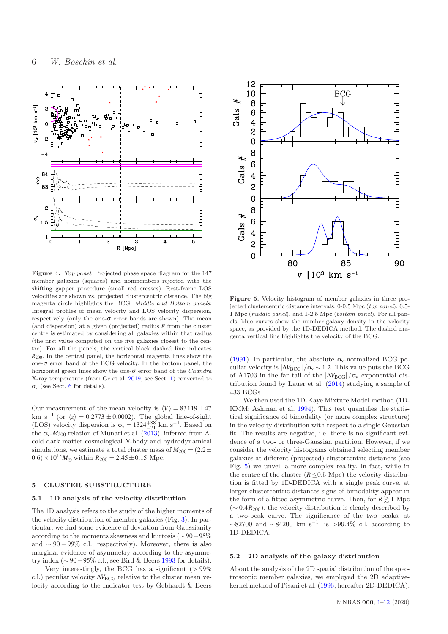

Figure 4. Top panel: Projected phase space diagram for the 147 member galaxies (squares) and nonmembers rejected with the shifting gapper procedure (small red crosses). Rest-frame LOS velocities are shown vs. projected clustercentric distance. The big magenta circle highlights the BCG. Middle and Bottom panels: Integral profiles of mean velocity and LOS velocity dispersion, respectively (only the one- $\sigma$  error bands are shown). The mean (and dispersion) at a given (projected) radius *R* from the cluster centre is estimated by considering all galaxies within that radius (the first value computed on the five galaxies closest to the centre). For all the panels, the vertical black dashed line indicates *R*200. In the central panel, the horizontal magenta lines show the one- $\sigma$  error band of the BCG velocity. In the bottom panel, the horizontal green lines show the one- $\sigma$  error band of the *Chandra* X-ray temperature (from Ge et al. 2019, see Sect. 1) converted to <sup>σ</sup><sup>v</sup> (see Sect. 6 for details).

Our measurement of the mean velocity is  $\langle V \rangle = 83119 \pm 47$ km s<sup>-1</sup> (or  $\langle z \rangle = 0.2773 \pm 0.0002$ ). The global line-of-sight (LOS) velocity dispersion is  $\sigma_v = 1324^{+88}_{-71}$  km s<sup>-1</sup>. Based on the  $\sigma_{v}$ - $M_{200}$  relation of Munari et al. (2013), inferred from  $\Lambda$ cold dark matter cosmological *N*-body and hydrodynamical simulations, we estimate a total cluster mass of  $M_{200} = (2.2 \pm 1.00)$  $(0.6) \times 10^{15} M_{\odot}$  within  $R_{200} = 2.45 \pm 0.15$  Mpc.

# 5 CLUSTER SUBSTRUCTURE

# 5.1 1D analysis of the velocity distribution

The 1D analysis refers to the study of the higher moments of the velocity distribution of member galaxies (Fig. 3). In particular, we find some evidence of deviation from Gaussianity according to the moments skewness and kurtosis (∼ 90−95% and  $\sim 90-99\%$  c.l., respectively). Moreover, there is also marginal evidence of asymmetry according to the asymmetry index ( $\sim$  90 – 95% c.l.; see Bird & Beers 1993 for details).

Very interestingly, the BCG has a significant  $(>99\%$ c.l.) peculiar velocity  $\Delta V_{\text{BCG}}$  relative to the cluster mean velocity according to the Indicator test by Gebhardt & Beers



Figure 5. Velocity histogram of member galaxies in three projected clustercentric distance intervals: 0-0.5 Mpc (top panel), 0.5-1 Mpc (middle panel), and 1-2.5 Mpc (bottom panel). For all panels, blue curves show the number-galaxy density in the velocity space, as provided by the 1D-DEDICA method. The dashed magenta vertical line highlights the velocity of the BCG.

(1991). In particular, the absolute  $\sigma_{\rm v}$ -normalized BCG peculiar velocity is  $|\Delta V_{\rm BCG}|/\sigma_v \sim 1.2$ . This value puts the BCG of A1703 in the far tail of the  $|\Delta V_{\rm BCG}|/\sigma_{\rm v}$  exponential distribution found by Lauer et al. (2014) studying a sample of 433 BCGs.

We then used the 1D-Kaye Mixture Model method (1D-KMM; Ashman et al. 1994). This test quantifies the statistical significance of bimodality (or more complex structure) in the velocity distribution with respect to a single Gaussian fit. The results are negative, i.e. there is no significant evidence of a two- or three-Gaussian partition. However, if we consider the velocity histograms obtained selecting member galaxies at different (projected) clustercentric distances (see Fig. 5) we unveil a more complex reality. In fact, while in the centre of the cluster  $(R \le 0.5 \text{ Mpc})$  the velocity distribution is fitted by 1D-DEDICA with a single peak curve, at larger clustercentric distances signs of bimodality appear in the form of a fitted asymmetric curve. Then, for  $R \ge 1$  Mpc  $(\sim 0.4 R_{200})$ , the velocity distribution is clearly described by a two-peak curve. The significance of the two peaks, at  $\sim$ 82700 and  $\sim$ 84200 km s<sup>-1</sup>, is >99.4% c.l. according to 1D-DEDICA.

# 5.2 2D analysis of the galaxy distribution

About the analysis of the 2D spatial distribution of the spectroscopic member galaxies, we employed the 2D adaptivekernel method of Pisani et al. (1996, hereafter 2D-DEDICA).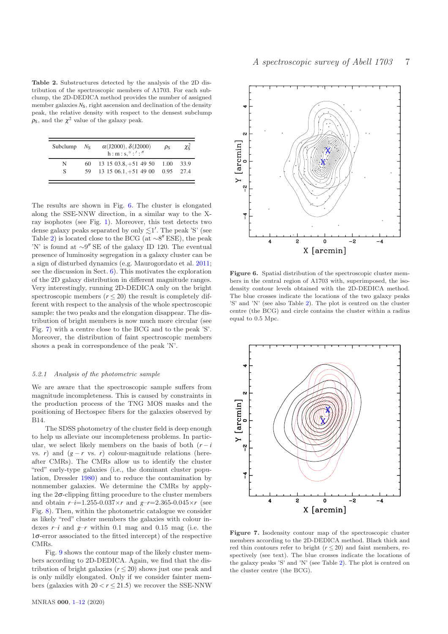Table 2. Substructures detected by the analysis of the 2D distribution of the spectroscopic members of A1703. For each subclump, the 2D-DEDICA method provides the number of assigned member galaxies  $N<sub>S</sub>$ , right ascension and declination of the density peak, the relative density with respect to the densest subclump  $\rho_{\rm S}$ , and the  $\chi^2$  value of the galaxy peak.

| Subclump | $N_{\rm S}$ | $\alpha$ (J2000), $\delta$ (J2000)<br>$h: m: s, \degree: ' :''$              | $\rho_S$ | $\chi^2_{\rm s}$ |
|----------|-------------|------------------------------------------------------------------------------|----------|------------------|
| N<br>S   | 60.<br>59.  | $13\ 15\ 03.8, +51\ 49\ 50\ 1.00$<br>$13\ 15\ 06.1, +51\ 49\ 00\ 0.95\ 27.4$ |          | 33.9             |

The results are shown in Fig. 6. The cluster is elongated along the SSE-NNW direction, in a similar way to the Xray isophotes (see Fig. 1). Moreover, this test detects two dense galaxy peaks separated by only  $\lesssim$ 1'. The peak 'S' (see Table 2) is located close to the BCG (at  $\sim$ 8" ESE), the peak 'N' is found at ∼9 ′′ SE of the galaxy ID 120. The eventual presence of luminosity segregation in a galaxy cluster can be a sign of disturbed dynamics (e.g. Maurogordato et al. 2011; see the discussion in Sect. 6). This motivates the exploration of the 2D galaxy distribution in different magnitude ranges. Very interestingly, running 2D-DEDICA only on the bright spectroscopic members  $(r \leq 20)$  the result is completely different with respect to the analysis of the whole spectroscopic sample: the two peaks and the elongation disappear. The distribution of bright members is now much more circular (see Fig. 7) with a centre close to the BCG and to the peak 'S'. Moreover, the distribution of faint spectroscopic members shows a peak in correspondence of the peak 'N'.

#### 5.2.1 Analysis of the photometric sample

We are aware that the spectroscopic sample suffers from magnitude incompleteness. This is caused by constraints in the production process of the TNG MOS masks and the positioning of Hectospec fibers for the galaxies observed by B14.

The SDSS photometry of the cluster field is deep enough to help us alleviate our incompleteness problems. In particular, we select likely members on the basis of both  $(r - i)$ vs. *r*) and  $(g - r \text{ vs. } r)$  colour-magnitude relations (hereafter CMRs). The CMRs allow us to identify the cluster "red" early-type galaxies (i.e., the dominant cluster population, Dressler 1980) and to reduce the contamination by nonmember galaxies. We determine the CMRs by applying the  $2\sigma$ -clipping fitting procedure to the cluster members and obtain  $r-i=1.255-0.037 \times r$  and  $g-r=2.365-0.045 \times r$  (see Fig. 8). Then, within the photometric catalogue we consider as likely "red" cluster members the galaxies with colour indexes  $r-i$  and  $g-r$  within 0.1 mag and 0.15 mag (i.e. the 1σ-error associated to the fitted intercept) of the respective CMRs.

Fig. 9 shows the contour map of the likely cluster members according to 2D-DEDICA. Again, we find that the distribution of bright galaxies  $(r \leq 20)$  shows just one peak and is only mildly elongated. Only if we consider fainter members (galaxies with  $20 < r \le 21.5$ ) we recover the SSE-NNW



Figure 6. Spatial distribution of the spectroscopic cluster members in the central region of A1703 with, superimposed, the isodensity contour levels obtained with the 2D-DEDICA method. The blue crosses indicate the locations of the two galaxy peaks 'S' and 'N' (see also Table 2). The plot is centred on the cluster centre (the BCG) and circle contains the cluster within a radius equal to 0.5 Mpc.



Figure 7. Isodensity contour map of the spectroscopic cluster members according to the 2D-DEDICA method. Black thick and red thin contours refer to bright  $(r \leq 20)$  and faint members, respectively (see text). The blue crosses indicate the locations of the galaxy peaks 'S' and 'N' (see Table 2). The plot is centred on the cluster centre (the BCG).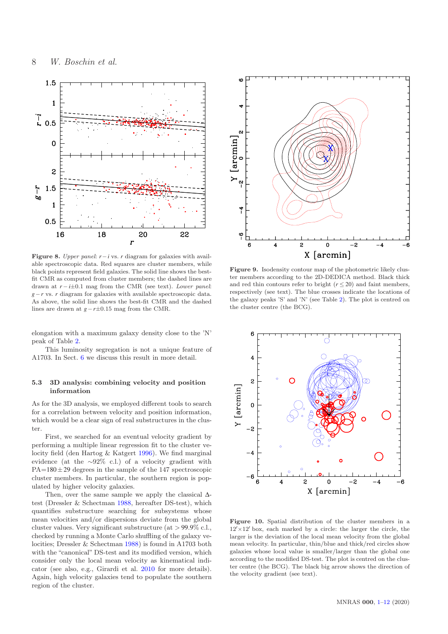

Figure 8. Upper panel: *r*−*i* vs. *r* diagram for galaxies with available spectroscopic data. Red squares are cluster members, while black points represent field galaxies. The solid line shows the bestfit CMR as computed from cluster members; the dashed lines are drawn at *r* − *i*±0.1 mag from the CMR (see text). Lower panel: *g*−*r* vs. *r* diagram for galaxies with available spectroscopic data. As above, the solid line shows the best-fit CMR and the dashed lines are drawn at *g*−*r*±0.15 mag from the CMR.

elongation with a maximum galaxy density close to the 'N' peak of Table 2.

This luminosity segregation is not a unique feature of A1703. In Sect. 6 we discuss this result in more detail.

# 5.3 3D analysis: combining velocity and position information

As for the 3D analysis, we employed different tools to search for a correlation between velocity and position information, which would be a clear sign of real substructures in the cluster.

First, we searched for an eventual velocity gradient by performing a multiple linear regression fit to the cluster velocity field (den Hartog & Katgert 1996). We find marginal evidence (at the ∼92% c.l.) of a velocity gradient with  $PA=180\pm29$  degrees in the sample of the 147 spectroscopic cluster members. In particular, the southern region is populated by higher velocity galaxies.

Then, over the same sample we apply the classical Δtest (Dressler & Schectman 1988, hereafter DS-test), which quantifies substructure searching for subsystems whose mean velocities and/or dispersions deviate from the global cluster values. Very significant substructure (at > 99.9% c.l., checked by running a Monte Carlo shuffling of the galaxy velocities; Dressler & Schectman 1988) is found in A1703 both with the "canonical" DS-test and its modified version, which consider only the local mean velocity as kinematical indicator (see also, e.g., Girardi et al. 2010 for more details). Again, high velocity galaxies tend to populate the southern region of the cluster.



Figure 9. Isodensity contour map of the photometric likely cluster members according to the 2D-DEDICA method. Black thick and red thin contours refer to bright  $(r \leq 20)$  and faint members, respectively (see text). The blue crosses indicate the locations of the galaxy peaks 'S' and 'N' (see Table 2). The plot is centred on the cluster centre (the BCG).



Figure 10. Spatial distribution of the cluster members in a  $12' \times 12'$  box, each marked by a circle: the larger the circle, the larger is the deviation of the local mean velocity from the global mean velocity. In particular, thin/blue and thick/red circles show galaxies whose local value is smaller/larger than the global one according to the modified DS-test. The plot is centred on the cluster centre (the BCG). The black big arrow shows the direction of the velocity gradient (see text).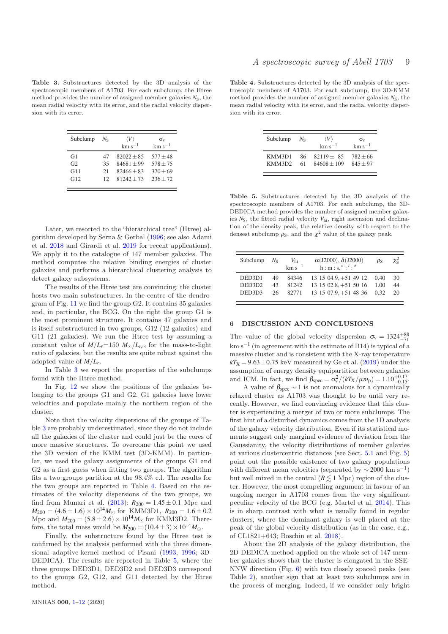Table 3. Substructures detected by the 3D analysis of the spectroscopic members of A1703. For each subclump, the Htree method provides the number of assigned member galaxies  $N<sub>S</sub>$ , the mean radial velocity with its error, and the radial velocity dispersion with its error.

| Subclump               | $N_{\rm S}$          | $\langle V \rangle$<br>$km s^{-1}$                           | $\sigma_{v}$<br>$km s^{-1}$                          |
|------------------------|----------------------|--------------------------------------------------------------|------------------------------------------------------|
| G1<br>G2<br>G11<br>G12 | 47<br>35<br>21<br>12 | $82022 + 85$<br>$84681 + 99$<br>$82466 + 83$<br>$81242 + 73$ | $577 + 48$<br>$578 + 75$<br>$370 + 69$<br>$236 + 72$ |
|                        |                      |                                                              |                                                      |

Later, we resorted to the "hierarchical tree" (Htree) algorithm developed by Serna & Gerbal (1996; see also Adami et al. 2018 and Girardi et al. 2019 for recent applications). We apply it to the catalogue of 147 member galaxies. The method computes the relative binding energies of cluster galaxies and performs a hierarchical clustering analysis to detect galaxy subsystems.

The results of the Htree test are convincing: the cluster hosts two main substructures. In the centre of the dendrogram of Fig. 11 we find the group G2. It contains 35 galaxies and, in particular, the BCG. On the right the group G1 is the most prominent structure. It contains 47 galaxies and is itself substructured in two groups, G12 (12 galaxies) and G11 (21 galaxies). We run the Htree test by assuming a constant value of  $M/L_r$ =150  $M_{\odot}/L_{r,\odot}$  for the mass-to-light ratio of galaxies, but the results are quite robust against the adopted value of *M*/*Lr*.

In Table 3 we report the properties of the subclumps found with the Htree method.

In Fig. 12 we show the positions of the galaxies belonging to the groups G1 and G2. G1 galaxies have lower velocities and populate mainly the northern region of the cluster.

Note that the velocity dispersions of the groups of Table 3 are probably underestimated, since they do not include all the galaxies of the cluster and could just be the cores of more massive structures. To overcome this point we used the 3D version of the KMM test (3D-KMM). In particular, we used the galaxy assignments of the groups G1 and G2 as a first guess when fitting two groups. The algorithm fits a two groups partition at the 98.4% c.l. The results for the two groups are reported in Table 4. Based on the estimates of the velocity dispersions of the two groups, we find from Munari et al.  $(2013)$ :  $R_{200} = 1.45 \pm 0.1$  Mpc and  $M_{200} = (4.6 \pm 1.6) \times 10^{14} M_{\odot}$  for KMM3D1,  $R_{200} = 1.6 \pm 0.2$ Mpc and  $M_{200} = (5.8 \pm 2.6) \times 10^{14} M_{\odot}$  for KMM3D2. Therefore, the total mass would be  $M_{200} = (10.4 \pm 3) \times 10^{14} M_{\odot}$ .

Finally, the substructure found by the Htree test is confirmed by the analysis performed with the three dimensional adaptive-kernel method of Pisani (1993, 1996; 3D-DEDICA). The results are reported in Table 5, where the three groups DED3D1, DED3D2 and DED3D3 correspond to the groups G2, G12, and G11 detected by the Htree method.

Table 4. Substructures detected by the 3D analysis of the spectroscopic members of A1703. For each subclump, the 3D-KMM method provides the number of assigned member galaxies  $N<sub>S</sub>$ , the mean radial velocity with its error, and the radial velocity dispersion with its error.

| Subclump | $N_{\rm S}$ | $\langle V \rangle$<br>$km s^{-1}$ | $\sigma_{\rm v}$<br>$km s^{-1}$ |
|----------|-------------|------------------------------------|---------------------------------|
| KMM3D1   | 86          | $82119 + 85$                       | $782 \pm 66$                    |
| KMM3D2   | 61          | $84608 + 109$                      | $845 + 97$                      |

Table 5. Substructures detected by the 3D analysis of the spectroscopic members of A1703. For each subclump, the 3D-DEDICA method provides the number of assigned member galaxies  $N<sub>S</sub>$ , the fitted radial velocity  $V<sub>fit</sub>$ , right ascension and declination of the density peak, the relative density with respect to the densest subclump  $\rho_S$ , and the  $\chi^2$  value of the galaxy peak.

| Subclump $NS$      |    | $V_{\rm fit}$<br>$km s^{-1}$ | $\alpha$ (J2000), $\delta$ (J2000)<br>$h: m: s, \degree: ' :''$ | $\rho_S$ | $\chi^2_{\rm S}$ |
|--------------------|----|------------------------------|-----------------------------------------------------------------|----------|------------------|
| DED3D1             | 49 |                              | $84346$ 13 15 04.9, +51 49 12 0.40                              |          | 30               |
| DED3D <sub>2</sub> | 43 | 81242                        | $13\ 15\ 02.8, +51\ 50\ 16\ 1.00$                               |          | 44               |
| DED3D3             |    |                              | 26 82771 13 15 07.9, +51 48 36 0.32                             |          | 20               |
|                    |    |                              |                                                                 |          |                  |

## 6 DISCUSSION AND CONCLUSIONS

The value of the global velocity dispersion  $\sigma_{v} = 1324_{-71}^{+88}$ km s−<sup>1</sup> (in agreement with the estimate of B14) is typical of a massive cluster and is consistent with the X-ray temperature  $kT_X = 9.63 \pm 0.75$  keV measured by Ge et al.  $(2019)$  under the assumption of energy density equipartition between galaxies and ICM. In fact, we find  $\beta_{\text{spec}} = \sigma_v^2/(kT_X/\mu m_p) = 1.10_{-0.15}^{+0.17}$ .

A value of  $\beta_{\text{spec}} \sim 1$  is not anomalous for a dynamically relaxed cluster as A1703 was thought to be until very recently. However, we find convincing evidence that this cluster is experiencing a merger of two or more subclumps. The first hint of a disturbed dynamics comes from the 1D analysis of the galaxy velocity distribution. Even if its statistical moments suggest only marginal evidence of deviation from the Gaussianity, the velocity distributions of member galaxies at various clustercentric distances (see Sect. 5.1 and Fig. 5) point out the possible existence of two galaxy populations with different mean velocities (separated by  $\sim$  2000 km s<sup>-1</sup>) but well mixed in the central  $(R \lesssim 1 \text{ Mpc})$  region of the cluster. However, the most compelling argument in favour of an ongoing merger in A1703 comes from the very significant peculiar velocity of the BCG (e.g. Martel et al. 2014). This is in sharp contrast with what is usually found in regular clusters, where the dominant galaxy is well placed at the peak of the global velocity distribution (as in the case, e.g., of CL1821+643; Boschin et al. 2018).

About the 2D analysis of the galaxy distribution, the 2D-DEDICA method applied on the whole set of 147 member galaxies shows that the cluster is elongated in the SSE-NNW direction (Fig. 6) with two closely spaced peaks (see Table 2), another sign that at least two subclumps are in the process of merging. Indeed, if we consider only bright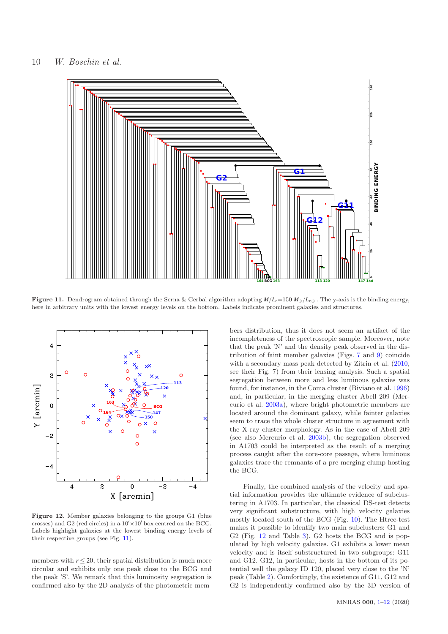

Figure 11. Dendrogram obtained through the Serna & Gerbal algorithm adopting  $M/L_r = 150 M_{\odot}/L_{r,\odot}$ . The y-axis is the binding energy, here in arbitrary units with the lowest energy levels on the bottom. Labels indicate prominent galaxies and structures.



Figure 12. Member galaxies belonging to the groups G1 (blue crosses) and G2 (red circles) in a  $10' \times 10'$  box centred on the BCG. Labels highlight galaxies at the lowest binding energy levels of their respective groups (see Fig. 11).

members with  $r \leq 20$ , their spatial distribution is much more circular and exhibits only one peak close to the BCG and the peak 'S'. We remark that this luminosity segregation is confirmed also by the 2D analysis of the photometric mem-

bers distribution, thus it does not seem an artifact of the incompleteness of the spectroscopic sample. Moreover, note that the peak 'N' and the density peak observed in the distribution of faint member galaxies (Figs. 7 and 9) coincide with a secondary mass peak detected by Zitrin et al. (2010, see their Fig. 7) from their lensing analysis. Such a spatial segregation between more and less luminous galaxies was found, for instance, in the Coma cluster (Biviano et al. 1996) and, in particular, in the merging cluster Abell 209 (Mercurio et al. 2003a), where bright photometric members are located around the dominant galaxy, while fainter galaxies seem to trace the whole cluster structure in agreement with the X-ray cluster morphology. As in the case of Abell 209 (see also Mercurio et al. 2003b), the segregation observed in A1703 could be interpreted as the result of a merging process caught after the core-core passage, where luminous galaxies trace the remnants of a pre-merging clump hosting the BCG.

Finally, the combined analysis of the velocity and spatial information provides the ultimate evidence of subclustering in A1703. In particular, the classical DS-test detects very significant substructure, with high velocity galaxies mostly located south of the BCG (Fig. 10). The Htree-test makes it possible to identify two main subclusters: G1 and G2 (Fig. 12 and Table 3). G2 hosts the BCG and is populated by high velocity galaxies. G1 exhibits a lower mean velocity and is itself substructured in two subgroups: G11 and G12. G12, in particular, hosts in the bottom of its potential well the galaxy ID 120, placed very close to the 'N' peak (Table 2). Comfortingly, the existence of G11, G12 and G2 is independently confirmed also by the 3D version of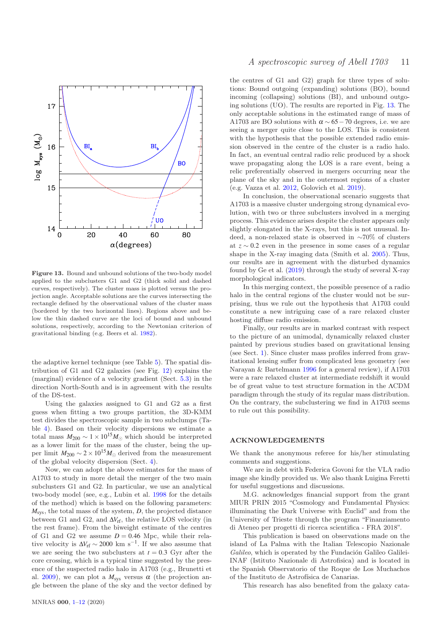

Figure 13. Bound and unbound solutions of the two-body model applied to the subclusters G1 and G2 (thick solid and dashed curves, respectively). The cluster mass is plotted versus the projection angle. Acceptable solutions are the curves intersecting the rectangle defined by the observational values of the cluster mass (bordered by the two horizontal lines). Regions above and below the thin dashed curve are the loci of bound and unbound solutions, respectively, according to the Newtonian criterion of gravitational binding (e.g. Beers et al. 1982).

the adaptive kernel technique (see Table 5). The spatial distribution of G1 and G2 galaxies (see Fig. 12) explains the (marginal) evidence of a velocity gradient (Sect. 5.3) in the direction North-South and is in agreement with the results of the DS-test.

Using the galaxies assigned to G1 and G2 as a first guess when fitting a two groups partition, the 3D-KMM test divides the spectroscopic sample in two subclumps (Table 4). Based on their velocity dispersions we estimate a total mass  $M_{200} \sim 1 \times 10^{15} M_{\odot}$  which should be interpreted as a lower limit for the mass of the cluster, being the upper limit  $M_{200} \sim 2 \times 10^{15} M_{\odot}$  derived from the measurement of the global velocity dispersion (Sect. 4).

Now, we can adopt the above estimates for the mass of A1703 to study in more detail the merger of the two main subclusters G1 and G2. In particular, we use an analytical two-body model (see, e.g., Lubin et al. 1998 for the details of the method) which is based on the following parameters: *M*sys, the total mass of the system, *D*, the projected distance between G1 and G2, and ∆*V*rf, the relative LOS velocity (in the rest frame). From the biweight estimate of the centres of G1 and G2 we assume  $D = 0.46$  Mpc, while their relative velocity is  $\Delta V_{\rm rf} \sim 2000$  km s<sup>-1</sup>. If we also assume that we are seeing the two subclusters at  $t = 0.3$  Gyr after the core crossing, which is a typical time suggested by the presence of the suspected radio halo in A1703 (e.g., Brunetti et al. 2009), we can plot a  $M_{sys}$  versus  $\alpha$  (the projection angle between the plane of the sky and the vector defined by

the centres of G1 and G2) graph for three types of solutions: Bound outgoing (expanding) solutions (BO), bound incoming (collapsing) solutions (BI), and unbound outgoing solutions (UO). The results are reported in Fig. 13. The only acceptable solutions in the estimated range of mass of A1703 are BO solutions with  $\alpha \sim 65-70$  degrees, i.e. we are seeing a merger quite close to the LOS. This is consistent with the hypothesis that the possible extended radio emission observed in the centre of the cluster is a radio halo. In fact, an eventual central radio relic produced by a shock wave propagating along the LOS is a rare event, being a relic preferentially observed in mergers occurring near the plane of the sky and in the outermost regions of a cluster (e.g. Vazza et al. 2012, Golovich et al. 2019).

In conclusion, the observational scenario suggests that A1703 is a massive cluster undergoing strong dynamical evolution, with two or three subclusters involved in a merging process. This evidence arises despite the cluster appears only slightly elongated in the X-rays, but this is not unusual. Indeed, a non-relaxed state is observed in ∼70% of clusters at *z* ∼ 0.2 even in the presence in some cases of a regular shape in the X-ray imaging data (Smith et al. 2005). Thus, our results are in agreement with the disturbed dynamics found by Ge et al. (2019) through the study of several X-ray morphological indicators.

In this merging context, the possible presence of a radio halo in the central regions of the cluster would not be surprising, thus we rule out the hypothesis that A1703 could constitute a new intriguing case of a rare relaxed cluster hosting diffuse radio emission.

Finally, our results are in marked contrast with respect to the picture of an unimodal, dynamically relaxed cluster painted by previous studies based on gravitational lensing (see Sect. 1). Since cluster mass profiles inferred from gravitational lensing suffer from complicated lens geometry (see Narayan & Bartelmann 1996 for a general review), if A1703 were a rare relaxed cluster at intermediate redshift it would be of great value to test structure formation in the ΛCDM paradigm through the study of its regular mass distribution. On the contrary, the subclustering we find in A1703 seems to rule out this possibility.

# ACKNOWLEDGEMENTS

We thank the anonymous referee for his/her stimulating comments and suggestions.

We are in debt with Federica Govoni for the VLA radio image she kindly provided us. We also thank Luigina Feretti for useful suggestions and discussions.

M.G. acknowledges financial support from the grant MIUR PRIN 2015 "Cosmology and Fundamental Physics: illuminating the Dark Universe with Euclid" and from the University of Trieste through the program "Finanziamento di Ateneo per progetti di ricerca scientifica - FRA 2018".

This publication is based on observations made on the island of La Palma with the Italian Telescopio Nazionale Galileo, which is operated by the Fundación Galileo Galilei-INAF (Istituto Nazionale di Astrofisica) and is located in the Spanish Observatorio of the Roque de Los Muchachos of the Instituto de Astrofísica de Canarias.

This research has also benefited from the galaxy cata-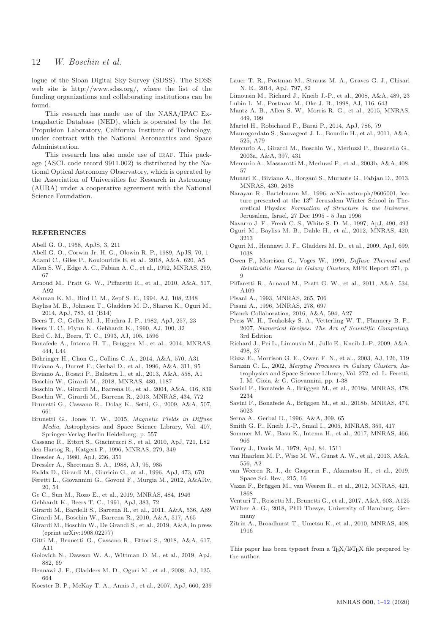logue of the Sloan Digital Sky Survey (SDSS). The SDSS web site is http://www.sdss.org/, where the list of the funding organizations and collaborating institutions can be found.

This research has made use of the NASA/IPAC Extragalactic Database (NED), which is operated by the Jet Propulsion Laboratory, California Institute of Technology, under contract with the National Aeronautics and Space Administration.

This research has also made use of IRAF. This package (ASCL code record 9911.002) is distributed by the National Optical Astronomy Observatory, which is operated by the Association of Universities for Research in Astronomy (AURA) under a cooperative agreement with the National Science Foundation.

#### REFERENCES

Abell G. O., 1958, ApJS, 3, 211

- Abell G. O., Corwin Jr. H. G., Olowin R. P., 1989, ApJS, 70, 1
- Adami C., Giles P., Koulouridis E, et al., 2018, A&A, 620, A5
- Allen S. W., Edge A. C., Fabian A. C., et al., 1992, MNRAS, 259, 67
- Arnoud M., Pratt G. W., Piffaretti R., et al., 2010, A&A, 517, A92
- Ashman K. M., Bird C. M., Zepf S. E., 1994, AJ, 108, 2348
- Bayliss M. B., Johnson T., Gladders M. D., Sharon K., Oguri M., 2014, ApJ, 783, 41 (B14)
- Beers T. C., Geller M. J., Huchra J. P., 1982, ApJ, 257, 23
- Beers T. C., Flynn K., Gebhardt K., 1990, AJ, 100, 32
- Bird C. M., Beers, T. C., 1993, AJ, 105, 1596
- Bonafede A., Intema H. T., Brüggen M., et al., 2014, MNRAS, 444, L44
- Böhringer H., Chon G., Collins C. A., 2014, A&A, 570, A31
- Biviano A., Durret F.; Gerbal D., et al., 1996, A&A, 311, 95
- Biviano A., Rosati P., Balestra I., et al., 2013, A&A, 558, A1
- Boschin W., Girardi M., 2018, MNRAS, 480, 1187
- Boschin W., Girardi M., Barrena R., et al., 2004, A&A, 416, 839
- Boschin W., Girardi M., Barrena R., 2013, MNRAS, 434, 772
- Brunetti G., Cassano R., Dolag K., Setti, G., 2009, A&A, 507, 661
- Brunetti G., Jones T. W., 2015, Magnetic Fields in Diffuse Media, Astrophysics and Space Science Library, Vol. 407, Springer-Verlag Berlin Heidelberg, p. 557

Cassano R., Ettori S., Giacintucci S., et al, 2010, ApJ, 721, L82

den Hartog R., Katgert P., 1996, MNRAS, 279, 349

- Dressler A., 1980, ApJ, 236, 351
- Dressler A., Shectman S. A., 1988, AJ, 95, 985
- Fadda D., Girardi M., Giuricin G., at al., 1996, ApJ, 473, 670
- Feretti L., Giovannini G., Govoni F., Murgia M., 2012, A&ARv, 20, 54
- Ge C., Sun M., Rozo E., et al., 2019, MNRAS, 484, 1946
- Gebhardt K., Beers T. C., 1991, ApJ, 383, 72
- Girardi M., Bardelli S., Barrena R., et al., 2011, A&A, 536, A89
- Girardi M., Boschin W., Barrena R., 2010, A&A, 517, A65
- Girardi M., Boschin W., De Grandi S., et al., 2019, A&A, in press (eprint arXiv:1908.02277)
- Gitti M., Brunetti G., Cassano R., Ettori S., 2018, A&A, 617, A11
- Golovich N., Dawson W. A., Wittman D. M., et al., 2019, ApJ, 882, 69
- Hennawi J. F., Gladders M. D., Oguri M., et al., 2008, AJ, 135, 664
- Koester B. P., McKay T. A., Annis J., et al., 2007, ApJ, 660, 239
- Lauer T. R., Postman M., Strauss M. A., Graves G. J., Chisari N. E., 2014, ApJ, 797, 82
- Limousin M., Richard J., Kneib J.-P., et al., 2008, A&A, 489, 23 Lubin L. M., Postman M., Oke J. B., 1998, AJ, 116, 643
- Mantz A. B., Allen S. W., Morris R. G., et al., 2015, MNRAS, 449, 199
- Martel H., Robichaud F., Barai P., 2014, ApJ, 786, 79
- Maurogordato S., Sauvageot J. L., Bourdin H., et al., 2011, A&A, 525, A79
- Mercurio A., Girardi M., Boschin W., Merluzzi P., Busarello G., 2003a, A&A, 397, 431
- Mercurio A., Massarotti M., Merluzzi P., et al., 2003b, A&A, 408, 57
- Munari E., Biviano A., Borgani S., Murante G., Fabjan D., 2013, MNRAS, 430, 2638
- Narayan R., Bartelmann M., 1996, arXiv:astro-ph/9606001, lecture presented at the 13<sup>th</sup> Jerusalem Winter School in Theoretical Physics: Formation of Structure in the Universe, Jerusalem, Israel, 27 Dec 1995 - 5 Jan 1996
- Navarro J. F., Frenk C. S., White S. D. M., 1997, ApJ, 490, 493
- Oguri M., Bayliss M. B., Dahle H., et al., 2012, MNRAS, 420, 3213
- Oguri M., Hennawi J. F., Gladders M. D., et al., 2009, ApJ, 699, 1038
- Owen F., Morrison G., Voges W., 1999, Diffuse Thermal and Relativistic Plasma in Galaxy Clusters, MPE Report 271, p. 9
- Piffaretti R., Arnaud M., Pratt G. W., et al., 2011, A&A, 534, A109
- Pisani A., 1993, MNRAS, 265, 706
- Pisani A., 1996, MNRAS, 278, 697
- Planck Collaboration, 2016, A&A, 594, A27
- Press W. H., Teukolsky S. A., Vetterling W. T., Flannery B. P., 2007, Numerical Recipes. The Art of Scientific Computing, 3rd Edition
- Richard J., Pei L., Limousin M., Jullo E., Kneib J.-P., 2009, A&A, 498, 37
- Rizza E., Morrison G. E., Owen F. N., et al., 2003, AJ, 126, 119
- Sarazin C. L., 2002, Merging Processes in Galaxy Clusters, Astrophysics and Space Science Library, Vol. 272, ed. L. Feretti, I. M. Gioia, & G. Giovannini, pp. 1-38
- Savini F., Bonafede A., Brüggen M., et al., 2018a, MNRAS, 478, 2234
- Savini F., Bonafede A., Brüggen M., et al., 2018b, MNRAS, 474, 5023
- Serna A., Gerbal D., 1996, A&A, 309, 65
- Smith G. P., Kneib J.-P., Smail I., 2005, MNRAS, 359, 417
- Sommer M. W., Basu K., Intema H., et al., 2017, MNRAS, 466, 966
- Tonry J., Davis M., 1979, ApJ, 84, 1511
- van Haarlem M. P., Wise M. W., Gunst A. W., et al., 2013, A&A, 556, A2
- van Weeren R. J., de Gasperin F., Akamatsu H., et al., 2019, Space Sci. Rev., 215, 16
- Vazza F., Brüggen M., van Weeren R., et al., 2012, MNRAS, 421, 1868
- Venturi T., Rossetti M., Brunetti G., et al., 2017, A&A, 603, A125
- Wilber A. G., 2018, PhD Thesys, University of Hamburg, Germany
- Zitrin A., Broadhurst T., Umetsu K., et al., 2010, MNRAS, 408, 1916

This paper has been typeset from a T<sub>E</sub>X/LAT<sub>E</sub>X file prepared by the author.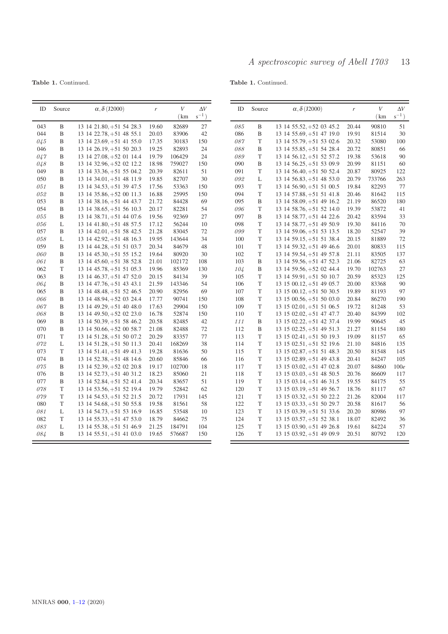Table 1. Continued.

Table 1. Continued.

| ID         | Source | $\alpha$ , $\delta$ (J2000)                            | $\boldsymbol{r}$ | $\boldsymbol{V}$ | $\Delta V$ | ID         | Source            | $\alpha$ , $\delta$ (J2000)                          | $\boldsymbol{r}$ | $\boldsymbol{V}$ | $\Delta V$ |
|------------|--------|--------------------------------------------------------|------------------|------------------|------------|------------|-------------------|------------------------------------------------------|------------------|------------------|------------|
|            |        |                                                        |                  | (km)             | $s^{-1}$ ) |            |                   |                                                      |                  | (km              | $s^{-1}$ ) |
| 043        | B      | $13$ 14 21.80, $+51$ 54 28.3                           | 19.60            | 82689            | $27\,$     | 085        | B                 | $13$ 14 55.52, +52 03 45.2                           | 20.44            | 90810            | 51         |
| 044        | B      | $13$ 14 22.78, $+51$ 48 55.1                           | 20.03            | 83906            | 42         | 086        | B                 | $13$ 14 55.69, +51 47 19.0                           | 19.91            | 81514            | 30         |
| 045        | B      | $13\;14\;23.69,+51\;41\;55.0$                          | 17.35            | 30183            | 150        | $087\,$    | T                 | 13 14 55.79, +51 53 02.6                             | 20.32            | 53080            | 100        |
| 046        | B      | $13$ 14 26.19, $+51$ 50 20.3                           | 19.25            | 82893            | 24         | 088        | B                 | 13 14 55.85, +51 54 28.4                             | 20.72            | 80851            | 66         |
| 047        | B      | 13 14 27.08, +52 01 14.4                               | 19.79            | 106429           | 24         | 089        | T                 | $13\;14\;56.12,+51\;52\;57.2$                        | 19.38            | 53618            | 90         |
| 048        | B      | 13 14 32.96, +52 02 12.2                               | 18.98            | 759027           | 150        | 090        | B                 | $13$ 14 56.25, +51 53 09.9                           | 20.99            | 81151            | 60         |
| 049        | B      | $13\;14\;33.36,+51\;55\;04.2$                          | 20.39            | 82611            | 51         | 091        | T                 | $13$ 14 56.40, $+51$ 50 52.4                         | 20.87            | 80925            | 122        |
| 050        | B      | $13$ 14 34.01, $+51$ 48 11.9                           | 19.85            | 82707            | 30         | 092        | L                 | 13 14 56.83, +51 48 53.0                             | 20.79            | 733766           | 263        |
| 051        | B      | $13\;14\;34.53,+51\;39\;47.5$                          | 17.56            | 53363            | 150        | 093        | T                 | $13\;14\;56.90,+51\;51\;00.5$                        | 19.84            | 82293            | 77         |
| 052        | B      | 13 14 35.86, +52 00 11.3                               | 16.88            | 25995            | 150        | 094        | $\mathbf T$       | 13 14 57.88, +51 51 41.8                             | 20.46            | 81642            | 115        |
| 053        | B      | $13\;14\;38.16,+51\;44\;43.7$                          | 21.72            | 84428            | 69         | 095        | B                 | $13\;14\;58.09, +51\;49\;16.2$                       | 21.19            | 86520            | 180        |
| 054        | B      | $13$ 14 38.65, +51 56 10.3                             | 20.17            | 82281            | 54         | 096        | T                 | 13 14 58.76, +51 52 14.0                             | 19.39            | 53872            | 41         |
| 055        | B      | $13$ 14 38.71, $+51$ 44 07.6                           | 19.56            | 92369            | 27         | 097        | B                 | 13 14 58.77, +51 44 22.6                             | 20.42            | 83594            | 33         |
| 056        | L      | $13$ 14 41.80, $+51$ 48 57.5                           | 17.12            | 56244            | 10         | 098        | T                 | $13$ 14 58.77, $+51$ 49 50.9                         | 19.30            | 84116            | 70         |
| 057        | B      | $13$ 14 42.01, +51 58 42.5                             | 21.28            | 83045            | 72         | 099        | T                 | $13\;14\;59.06,+51\;53\;13.5$                        | 18.20            | 52547            | 39         |
| 058        | L      | 13 14 42.92, $+51$ 48 16.3                             | 19.95            | 143644           | 34         | 100        | T                 | 13 14 59.15, +51 51 38.4                             | 20.15            | 81889            | 72         |
| 059        | B      | 13 14 44.28, +51 51 03.7                               | 20.34            | 84679            | 48         | 101        | $\mathbf T$       | $13$ 14 59.32, +51 49 46.6                           | 20.01            | 80833            | 115        |
| 060        | B      | $13$ 14 45.30, $+51$ 55 15.2                           | 19.64            | 80920            | 30         | 102        | $\mathbf T$       | 13 14 59.54, +51 49 57.8                             | 21.11            | 83505            | 137        |
| 061<br>062 | B<br>T | $13\;14\;45.60,+51\;38\;52.8$                          | 21.01            | 102172           | 108        | 103        | B<br>$\, {\bf B}$ | 13 14 59.56, +51 47 52.3                             | 21.06            | 82725            | 63         |
| 063        | B      | 13 14 45.78, +51 51 05.3                               | 19.96            | 85369<br>84134   | 130<br>39  | 104<br>105 | T                 | 13 14 59.56, +52 02 44.4                             | 19.70<br>20.59   | 102763<br>85323  | $27\,$     |
| 064        | B      | $13$ 14 46.37, +51 47 52.0<br>13 14 47.76, +51 43 43.1 | 20.15<br>21.59   | 143346           | 54         | 106        | $\mathbf T$       | 13 14 59.91, +51 50 10.7<br>13 15 00.12, +51 49 05.7 | 20.00            | 83368            | 125<br>90  |
| 065        | B      | 13 14 48.48, +51 52 46.5                               | 20.90            | 82956            | 69         | 107        | T                 | $13$ 15 00.12, $+51$ 50 30.5                         | 19.89            | 81193            | 97         |
| 066        | B      | 13 14 48.94, +52 03 24.4                               | 17.77            | 90741            | 150        | 108        | $\mathbf T$       | $13\,15\,00.56, +51\,50\,03.0$                       | 20.84            | 86270            | 190        |
| 067        | B      | $13$ 14 49.29, $+51$ 40 48.0                           | 17.63            | 29904            | 150        | 109        | T                 | $13\;15\;02.01,+51\;51\;06.5$                        | 19.72            | 81248            | 53         |
| 068        | B      | $13$ 14 49.50, $+52$ 02 23.0                           | 16.78            | 52874            | 150        | 110        | T                 | $13\;15\;02.02,+51\;47\;47.7$                        | 20.40            | 84399            | 102        |
| 069        | B      | $13$ 14 50.39, $+51$ 58 46.2                           | 20.58            | 82485            | 42         | 111        | B                 | 13 15 02.22, +51 42 37.4                             | 19.99            | 90645            | 45         |
| 070        | B      | $13\;14\;50.66, +52\;00\;58.7$                         | 21.08            | 82488            | 72         | 112        | B                 | 13 15 02.25, +51 49 51.3                             | 21.27            | 81154            | 180        |
| 071        | T      | $13$ 14 51.28, $+51$ 50 07.2                           | 20.29            | 83357            | 77         | 113        | T                 | $13$ 15 02.41, $+51$ 50 19.3                         | 19.09            | 81157            | 65         |
| 072        | L      | $13$ 14 51.28, $+51$ 50 11.3                           | 20.41            | 168269           | 38         | 114        | T                 | $13\;15\;02.51,+51\;52\;19.6$                        | 21.10            | 84816            | 135        |
| 073        | T      | $13$ 14 51.41, $+51$ 49 41.3                           | 19.28            | 81636            | 50         | 115        | T                 | 13 15 02.87, +51 51 48.3                             | 20.50            | 81548            | 145        |
| 074        | B      | $13\;14\;52.38,+51\;48\;14.6$                          | 20.60            | 85846            | 66         | 116        | T                 | $13\;15\;02.89,+51\;49\;43.8$                        | 20.41            | 84247            | 105        |
| 075        | B      | 13 14 52.39, +52 02 20.8                               | 19.17            | 102700           | 18         | 117        | $\mathbf T$       | $13$ 15 03.02, +51 47 02.8                           | 20.07            | 84860            | 100e       |
| 076        | B      | 13 14 52.73, +51 40 31.2                               | 18.23            | 85060            | 21         | 118        | $\mathbf T$       | $13\;15\;03.03,+51\;48\;50.5$                        | 20.76            | 86609            | 117        |
| 077        | B      | 13 14 52.84, +51 52 41.4                               | 20.34            | 83657            | 51         | 119        | T                 | $13$ 15 03.14, $+51$ 46 31.5                         | 19.55            | 84175            | 55         |
| 078        | T      | 13 14 53.56, +51 52 19.4                               | 19.79            | 52842            | 62         | 120        | T                 | $13$ 15 03.19, $+51$ 49 56.7                         | 18.76            | 81117            | 67         |
| 079        | T      | 13 14 54.53, +51 52 21.5                               | 20.72            | 17931            | 145        | 121        | T                 | $13$ 15 03.32, +51 50 22.2                           | 21.26            | 82004            | 117        |
| 080        | T      | 13 14 54.68, +51 50 55.8                               | 19.58            | 81561            | 58         | 122        | $\mathbf T$       | 13 15 03.33, +51 50 29.7                             | 20.58            | 81617            | 56         |
| 081        | L      | $13$ 14 54.73, +51 53 16.9                             | 16.85            | 53548            | 10         | 123        | T                 | $13\;15\;03.39,+51\;51\;33.6$                        | 20.20            | 80986            | 97         |
| 082        | T      | 13 14 55.33, +51 47 53.0                               | 18.79            | 84662            | 75         | 124        | $\mathbf T$       | 13 15 03.57, +51 52 38.1                             | 18.07            | 82492            | 36         |
| 083        | L      | 13 14 55.38, +51 51 46.9                               | 21.25            | 184791           | 104        | 125        | $\mathbf T$       | $13$ 15 03.90, +51 49 26.8                           | 19.61            | 84224            | 57         |
| 084        | B      | $13\;14\;55.51,+51\;41\;03.0$                          | 19.65            | 576687           | 150        | 126        | T                 | $13$ 15 03.92, +51 49 09.9                           | 20.51            | 80792            | 120        |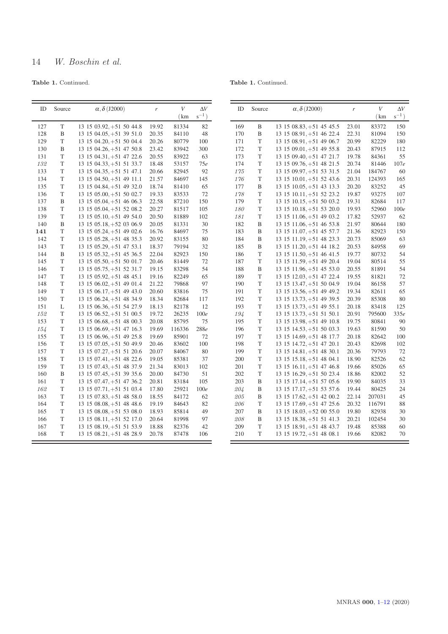# 14 W. Boschin et al.

Table 1. Continued.

# Table 1. Continued.

| ID  | Source | $\alpha$ , $\delta$ (J2000)    | r     | V      | $\Delta V$ |
|-----|--------|--------------------------------|-------|--------|------------|
|     |        |                                |       | (km)   | $s^{-1}$ ) |
| 127 | T      | 13 15 03.92, +51 50 44.8       | 19.92 | 81334  | 82         |
| 128 | B      | 13 15 04.05, +51 39 51.0       | 20.35 | 84110  | 48         |
| 129 | T      | 13 15 04.20, +51 50 04.4       | 20.26 | 80779  | 100        |
| 130 | B      | 13 15 04.26, +51 47 50.8       | 23.42 | 83942  | 300        |
| 131 | T      | 13 15 04.31, +51 47 22.6       | 20.55 | 83922  | 63         |
| 132 | T      | 13 15 04.33, +51 51 33.7       | 18.48 | 53157  | 75e        |
| 133 | T      | 13 15 04.35, +51 51 47.1       | 20.66 | 82945  | 92         |
| 134 | T      | 13 15 04.50, +51 49 11.1       | 21.57 | 84697  | 145        |
| 135 | T      | 13 15 04.84, +51 49 32.0       | 18.74 | 81410  | 65         |
| 136 | T      | 13 15 05.00, +51 50 02.7       | 19.33 | 83533  | 72         |
| 137 | B      | 13 15 05.04, +51 46 06.3       | 22.58 | 87210  | 150        |
| 138 | T      | 13 15 05.04, +51 52 08.2       | 20.27 | 81517  | 105        |
| 139 | T      | 13 15 05.10, +51 49 54.0       | 20.50 | 81889  | 102        |
| 140 | B      | $13\;15\;05.18,+52\;03\;06.9$  | 20.05 | 81331  | 30         |
| 141 | T      | 13 15 05.24, +51 49 02.6       | 16.76 | 84697  | 75         |
| 142 | T      | 13 15 05.28, +51 48 35.3       | 20.92 | 83155  | 80         |
| 143 | T      | 13 15 05.29, +51 47 53.1       | 18.37 | 79194  | 32         |
| 144 | B      | 13 15 05.32, +51 45 36.5       | 22.04 | 82923  | 150        |
| 145 | T      | $13\;15\;05.50,+51\;50\;01.7$  | 20.46 | 81449  | 72         |
| 146 | T      | 13 15 05.75, +51 52 31.7       | 19.15 | 83298  | 54         |
| 147 | T      | $13\;15\;05.92,+51\;48\;45.1$  | 19.16 | 82249  | 65         |
| 148 | T      | 13 15 06.02, +51 49 01.4       | 21.22 | 79868  | 97         |
| 149 | T      | $13\ 15\ 06.17, +51\ 49\ 43.0$ | 20.60 | 83816  | 75         |
| 150 | T      | 13 15 06.24, +51 48 34.9       | 18.34 | 82684  | 117        |
| 151 | L      | 13 15 06.36, +51 54 27.9       | 18.13 | 82178  | 12         |
| 152 | T      | 13 15 06.52, +51 51 00.5       | 19.72 | 26235  | 100e       |
| 153 | T      | 13 15 06.68, +51 48 00.3       | 20.08 | 85795  | 75         |
| 154 | T      | 13 15 06.69, +51 47 16.3       | 19.69 | 116336 | 288e       |
| 155 | T      | 13 15 06.96, +51 49 25.8       | 19.69 | 85901  | 72         |
| 156 | T      | $13$ 15 07.05, $+51$ 50 49.9   | 20.46 | 83602  | 100        |
| 157 | T      | 13 15 07.27, +51 51 20.6       | 20.07 | 84067  | 80         |
| 158 | T      | 13 15 07.41, +51 48 22.6       | 19.05 | 85381  | 37         |
| 159 | T      | 13 15 07.43, +51 48 37.9       | 21.34 | 83013  | 102        |
| 160 | B      | 13 15 07.45, +51 39 35.6       | 20.00 | 84730  | 51         |
| 161 | T      | 13 15 07.47, +51 47 36.2       | 20.81 | 83184  | 105        |
| 162 | T      | 13 15 07.71, +51 51 03.4       | 17.80 | 25921  | 100e       |
| 163 | T      | $13\;15\;07.83,+51\;48\;58.0$  | 18.55 | 84172  | 62         |
| 164 | T      | 13 15 08.08, +51 48 48.6       | 19.19 | 84643  | 82         |
| 165 | T      | 13 15 08.08, +51 53 08.0       | 18.93 | 85814  | 49         |
| 166 | T      | 13 15 08.11, +51 52 17.0       | 20.64 | 81998  | 97         |
| 167 | T      | 13 15 08.19, +51 51 53.9       | 18.88 | 82376  | 42         |
| 168 | T      | 13 15 08.21, +51 48 28.9       | 20.78 | 87478  | 106        |
|     |        |                                |       |        |            |

| ID  | Source | $\alpha$ , $\delta$ (J2000)    | r     | $\bar{V}$ | $\Delta V$ |
|-----|--------|--------------------------------|-------|-----------|------------|
|     |        |                                |       | (km       | $s^{-1}$ ) |
| 169 | B      | 13 15 08.83, +51 45 45.5       | 23.01 | 83372     | 150        |
| 170 | B      | 13 15 08.91, +51 46 22.4       | 22.31 | 81094     | 150        |
| 171 | T      | 13 15 08.91, +51 49 06.7       | 20.99 | 82229     | 180        |
| 172 | T      | 13 15 09.01, +51 49 55.8       | 20.43 | 87915     | 112        |
| 173 | T      | 13 15 09.40, +51 47 21.7       | 19.78 | 84361     | 55         |
| 174 | T      | 13 15 09.76, +51 48 21.5       | 20.74 | 81446     | 107e       |
| 175 | T      | 13 15 09.97, +51 53 31.5       | 21.04 | 184767    | 60         |
| 176 | T      | 13 15 10.01, +51 52 43.6       | 20.31 | 124393    | 165        |
| 177 | B      | 13 15 10.05, +51 43 13.3       | 20.20 | 83252     | 45         |
| 178 | T      | 13 15 10.11, +51 52 23.2       | 19.87 | 93275     | 107        |
| 179 | T      | 13 15 10.15, +51 50 03.2       | 19.31 | 82684     | 117        |
| 180 | T      | $13\ 15\ 10.18, +51\ 53\ 20.0$ | 19.93 | 52960     | 100e       |
| 181 | T      | 13 15 11.06, +51 49 03.2       | 17.82 | 52937     | 62         |
| 182 | B      | 13 15 11.06, +51 46 53.8       | 21.97 | 80644     | 180        |
| 183 | B      | 13 15 11.07, +51 45 57.7       | 21.36 | 82923     | 150        |
| 184 | B      | 13 15 11.19, +51 48 23.3       | 20.73 | 85069     | 63         |
| 185 | B      | 13 15 11.20, +51 44 18.2       | 20.53 | 84958     | 69         |
| 186 | T      | 13 15 11.50, +51 46 41.5       | 19.77 | 80732     | 54         |
| 187 | T      | 13 15 11.59, +51 49 20.4       | 19.04 | 80514     | 55         |
| 188 | B      | 13 15 11.96, +51 45 53.0       | 20.55 | 81891     | 54         |
| 189 | T      | 13 15 12.03, +51 47 22.4       | 19.55 | 81821     | 72         |
| 190 | T      | 13 15 13.47, +51 50 04.9       | 19.04 | 86158     | 57         |
| 191 | T      | 13 15 13.56, +51 49 49.2       | 19.34 | 82611     | 65         |
| 192 | T      | 13 15 13.73, +51 49 39.5       | 20.39 | 85308     | 80         |
| 193 | T      | 13 15 13.73, +51 49 55.1       | 20.18 | 83418     | 125        |
| 194 | T      | 13 15 13.73, +51 51 50.1       | 20.91 | 795600    | 335e       |
| 195 | T      | 13 15 13.98, +51 49 10.8       | 19.75 | 80841     | 90         |
| 196 | T      | 13 15 14.53, +51 50 03.3       | 19.63 | 81590     | 50         |
| 197 | T      | 13 15 14.69, +51 48 17.7       | 20.18 | 82642     | 100        |
| 198 | T      | 13 15 14.72, +51 47 20.1       | 20.43 | 82698     | 102        |
| 199 | T      | 13 15 14.81, +51 48 30.1       | 20.36 | 79793     | 72         |
| 200 | T      | 13 15 15 18, +51 48 04.1       | 18.90 | 82526     | 62         |
| 201 | T      | 13 15 16.11, +51 47 46.8       | 19.66 | 85026     | 65         |
| 202 | T      | 13 15 16.29, +51 50 23.4       | 18.86 | 82002     | 52         |
| 203 | B      | 13 15 17.14, +51 57 05.6       | 19.90 | 84035     | 33         |
| 204 | B      | 13 15 17.17, +51 53 57.6       | 19.44 | 80425     | 24         |
| 205 | B      | 13 15 17.62, +51 42 00.2       | 22.14 | 207031    | 45         |
| 206 | T      | 13 15 17.69, +51 47 25.6       | 20.32 | 116791    | 88         |
| 207 | B      | 13 15 18.03, +52 00 55.0       | 19.80 | 82938     | 30         |
| 208 | B      | 13 15 18.38, +51 51 41.3       | 20.21 | 102454    | 30         |
| 209 | T      | 13 15 18.91, +51 48 43.7       | 19.48 | 85388     | 60         |
| 210 | T      | 13 15 19.72, +51 48 08.1       | 19.66 | 82082     | 70         |